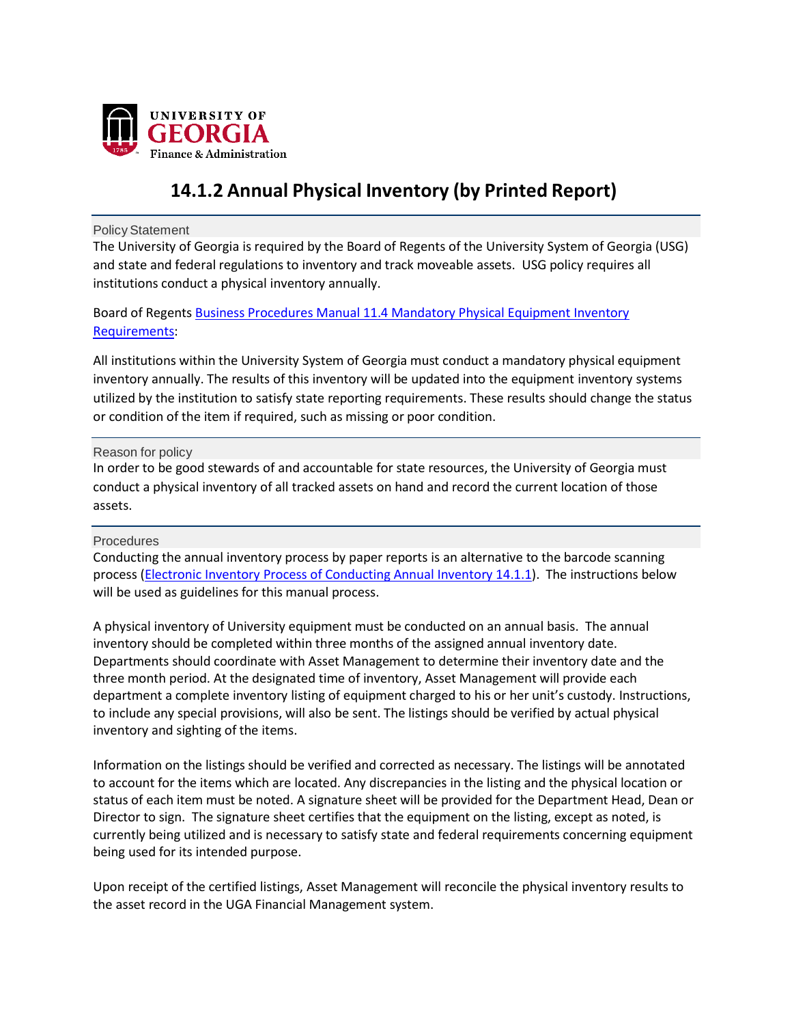

# **14.1.2 Annual Physical Inventory (by Printed Report)**

Policy Statement

The University of Georgia is required by the Board of Regents of the University System of Georgia (USG) and state and federal regulations to inventory and track moveable assets. USG policy requires all institutions conduct a physical inventory annually.

Board of Regents Business Procedures Manual 11.4 Mandatory Physical [Equipment Inventory](https://www.usg.edu/business_procedures_manual/section11/C1420) [Requirements:](https://www.usg.edu/business_procedures_manual/section11/C1420)

All institutions within the University System of Georgia must conduct a mandatory physical equipment inventory annually. The results of this inventory will be updated into the equipment inventory systems utilized by the institution to satisfy state reporting requirements. These results should change the status or condition of the item if required, such as missing or poor condition.

Reason for policy

In order to be good stewards of and accountable for state resources, the University of Georgia must conduct a physical inventory of all tracked assets on hand and record the current location of those assets.

## Procedures

Conducting the annual inventory process by paper reports is an alternative to the barcode scanning process (Electronic Inventory Process of Conducting [Annual Inventory 14.1.1\)](https://policies.uga.edu/pdf/electronic_inventory_process_of_conducting_annual_inventory.pdf). The instructions below will be used as guidelines for this manual process.

A physical inventory of University equipment must be conducted on an annual basis. The annual inventory should be completed within three months of the assigned annual inventory date. Departments should coordinate with Asset Management to determine their inventory date and the three month period. At the designated time of inventory, Asset Management will provide each department a complete inventory listing of equipment charged to his or her unit's custody. Instructions, to include any special provisions, will also be sent. The listings should be verified by actual physical inventory and sighting of the items.

Information on the listings should be verified and corrected as necessary. The listings will be annotated to account for the items which are located. Any discrepancies in the listing and the physical location or status of each item must be noted. A signature sheet will be provided for the Department Head, Dean or Director to sign. The signature sheet certifies that the equipment on the listing, except as noted, is currently being utilized and is necessary to satisfy state and federal requirements concerning equipment being used for its intended purpose.

Upon receipt of the certified listings, Asset Management will reconcile the physical inventory results to the asset record in the UGA Financial Management system.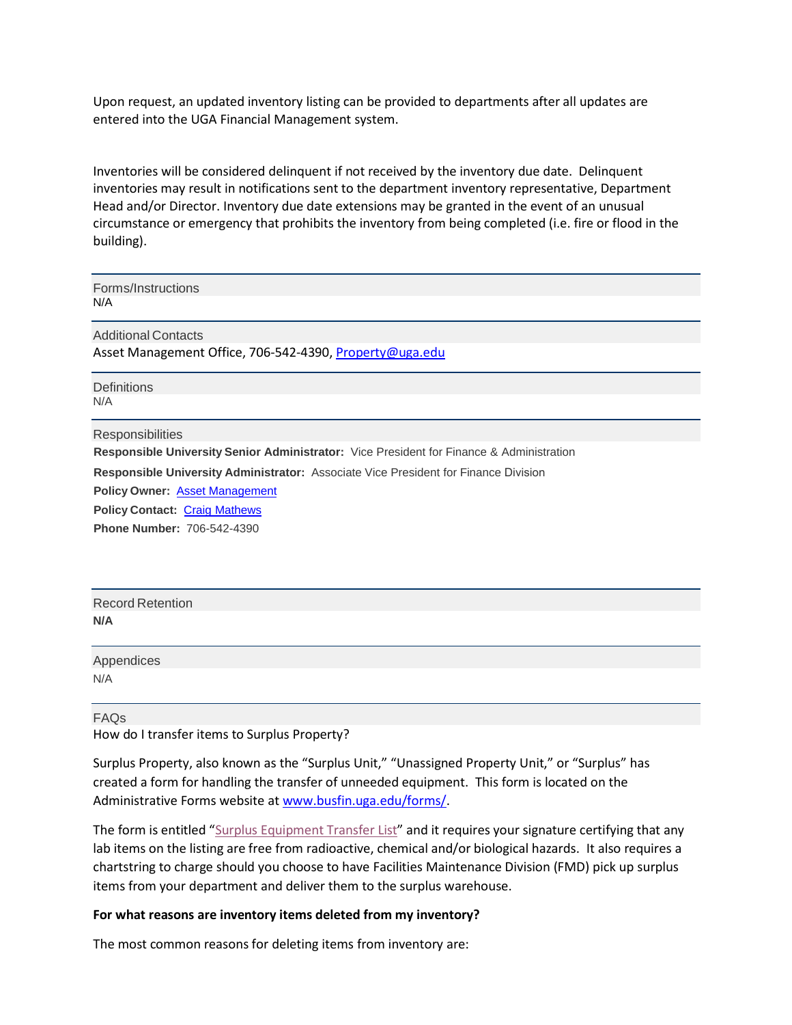Upon request, an updated inventory listing can be provided to departments after all updates are entered into the UGA Financial Management system.

Inventories will be considered delinquent if not received by the inventory due date. Delinquent inventories may result in notifications sent to the department inventory representative, Department Head and/or Director. Inventory due date extensions may be granted in the event of an unusual circumstance or emergency that prohibits the inventory from being completed (i.e. fire or flood in the building).

Forms/Instructions N/A

Additional Contacts Asset Management Office, 706-542-4390, [Property@uga.edu](mailto:property@uga.edu)

**Definitions** N/A

**Responsibilities** 

**Responsible University Senior Administrator:** Vice President for Finance & Administration

**Responsible University Administrator:** Associate Vice President for Finance Division

**Policy Owner:** Asset Management

**Policy Contact:** Craig Mathews

**Phone Number:** 706-5[42-4390](https://busfin.uga.edu/property_control/)

Record Retention **N/A**

Appendices N/A

FAQs How do I transfer items to Surplus Property?

Surplus Property, also known as the "Surplus Unit," "Unassigned Property Unit," or "Surplus" has created a form for handling the transfer of unneeded equipment. This form is located on the Administrative Forms website a[t www.busfin.uga.edu/forms/.](http://www.busfin.uga.edu/forms/)

The form is entitled "Surplus [Equipment](http://www.busfin.uga.edu/forms/surplus_equipment_lab.pdf) Transfer List" and it requires your signature certifying that any lab items on the listing are free from radioactive, chemical and/or biological hazards. It also requires a chartstring to charge should you choose to have Facilities Maintenance Division (FMD) pick up surplus items from your department and deliver them to the surplus warehouse.

## **For what reasons are inventory items deleted from my inventory?**

The most common reasons for deleting items from inventory are: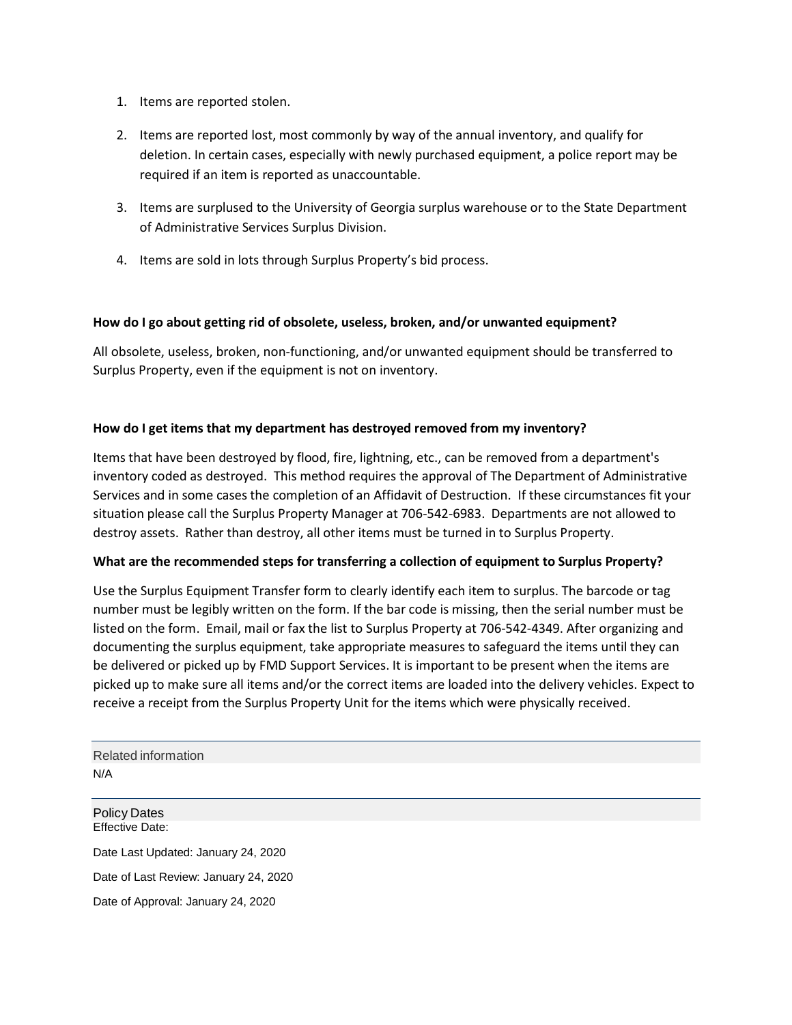- 1. Items are reported stolen.
- 2. Items are reported lost, most commonly by way of the annual inventory, and qualify for deletion. In certain cases, especially with newly purchased equipment, a police report may be required if an item is reported as unaccountable.
- 3. Items are surplused to the University of Georgia surplus warehouse or to the State Department of Administrative Services Surplus Division.
- 4. Items are sold in lots through Surplus Property's bid process.

# **How do I go about getting rid of obsolete, useless, broken, and/or unwanted equipment?**

All obsolete, useless, broken, non-functioning, and/or unwanted equipment should be transferred to Surplus Property, even if the equipment is not on inventory.

# **How do I get items that my department has destroyed removed from my inventory?**

Items that have been destroyed by flood, fire, lightning, etc., can be removed from a department's inventory coded as destroyed. This method requires the approval of The Department of Administrative Services and in some cases the completion of an Affidavit of Destruction. If these circumstances fit your situation please call the Surplus Property Manager at 706-542-6983. Departments are not allowed to destroy assets. Rather than destroy, all other items must be turned in to Surplus Property.

## **What are the recommended steps for transferring a collection of equipment to Surplus Property?**

Use the Surplus Equipment Transfer form to clearly identify each item to surplus. The barcode or tag number must be legibly written on the form. If the bar code is missing, then the serial number must be listed on the form. Email, mail or fax the list to Surplus Property at 706-542-4349. After organizing and documenting the surplus equipment, take appropriate measures to safeguard the items until they can be delivered or picked up by FMD Support Services. It is important to be present when the items are picked up to make sure all items and/or the correct items are loaded into the delivery vehicles. Expect to receive a receipt from the Surplus Property Unit for the items which were physically received.

Related information N/A

Policy Dates Effective Date: Date Last Updated: January 24, 2020 Date of Last Review: January 24, 2020 Date of Approval: January 24, 2020